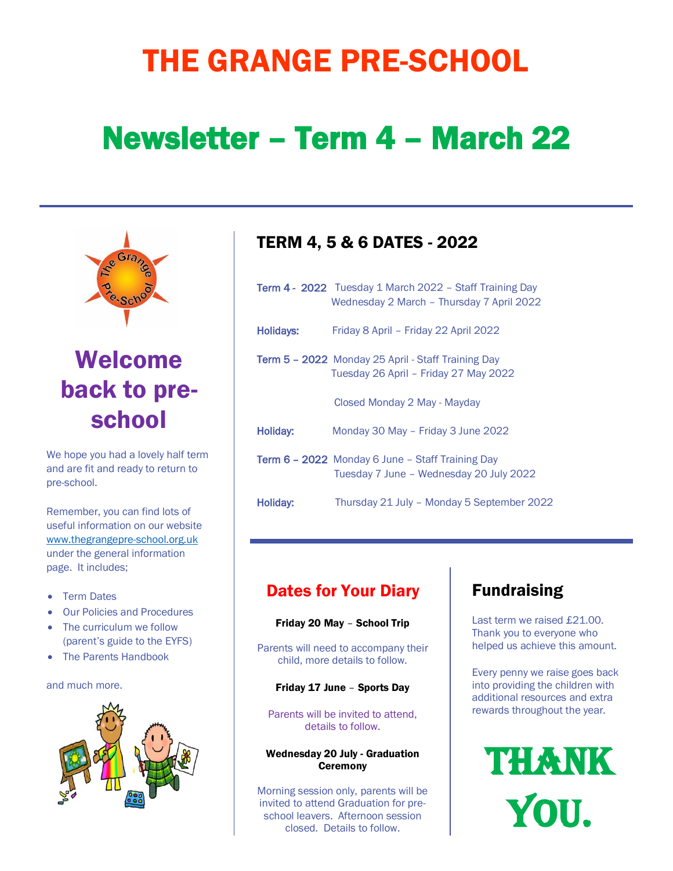# THE GRANGE PRE-SCHOOL

# Newsletter – Term 4 – March 22



Welcome back to preschool

We hope you had a lovely half term and are fit and ready to return to pre-school.

Remember, you can find lots of useful information on our website [www.thegrangepre-school.org.uk](http://www.thegrangepre-school.org.uk/) under the general information page. It includes;

- Term Dates
- Our Policies and Procedures
- The curriculum we follow (parent's guide to the EYFS)
- The Parents Handbook

and much more.



## TERM 4, 5 & 6 DATES - 2022

|                 | <b>Term 4 - 2022</b> Tuesday 1 March 2022 – Staff Training Day<br>Wednesday 2 March - Thursday 7 April 2022 |
|-----------------|-------------------------------------------------------------------------------------------------------------|
| Holidays:       | Friday 8 April - Friday 22 April 2022                                                                       |
|                 | Term 5 - 2022 Monday 25 April - Staff Training Day<br>Tuesday 26 April - Friday 27 May 2022                 |
|                 | Closed Monday 2 May - Mayday                                                                                |
| Holiday:        | Monday 30 May - Friday 3 June 2022                                                                          |
|                 | <b>Term 6 – 2022</b> Monday 6 June – Staff Training Day<br>Tuesday 7 June - Wednesday 20 July 2022          |
| <b>Holiday:</b> | Thursday 21 July - Monday 5 September 2022                                                                  |

## Dates for Your Diary

#### Friday 20 May – School Trip

Parents will need to accompany their child, more details to follow.

#### Friday 17 June – Sports Day

Parents will be invited to attend, details to follow.

#### Wednesday 20 July - Graduation **Ceremony**

Morning session only, parents will be invited to attend Graduation for preschool leavers. Afternoon session closed. Details to follow.

# Fundraising

Last term we raised £21.00. Thank you to everyone who helped us achieve this amount.

Every penny we raise goes back into providing the children with additional resources and extra rewards throughout the year.